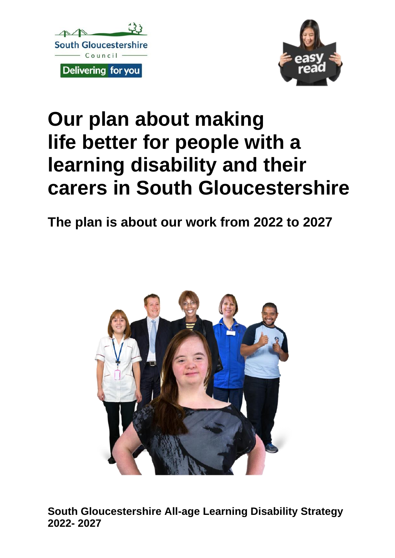



# **Our plan about making life better for people with a learning disability and their carers in South Gloucestershire**

**The plan is about our work from 2022 to 2027**



**South Gloucestershire All-age Learning Disability Strategy 2022- 2027**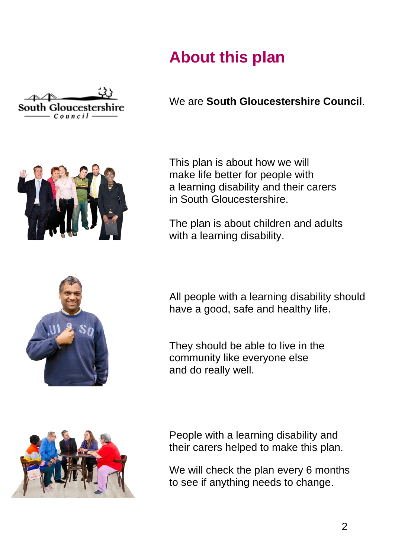### **About this plan**



We are **South Gloucestershire Council**.



This plan is about how we will make life better for people with a learning disability and their carers in South Gloucestershire.

The plan is about children and adults with a learning disability.



All people with a learning disability should have a good, safe and healthy life.

They should be able to live in the community like everyone else and do really well.



People with a learning disability and their carers helped to make this plan.

We will check the plan every 6 months to see if anything needs to change.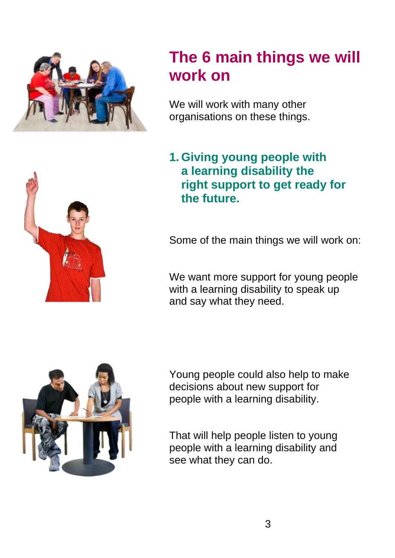

### **The 6 main things we will work on**

We will work with many other organisations on these things.



Some of the main things we will work on:

We want more support for young people with a learning disability to speak up and say what they need.



Young people could also help to make decisions about new support for people with a learning disability.

That will help people listen to young people with a learning disability and see what they can do.

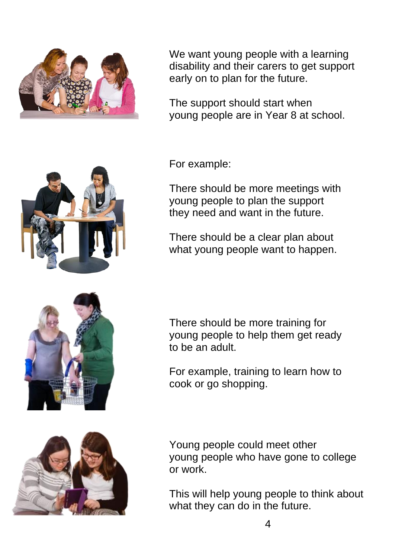

We want young people with a learning disability and their carers to get support early on to plan for the future.

The support should start when young people are in Year 8 at school.

For example:

There should be more meetings with young people to plan the support they need and want in the future.

There should be a clear plan about what young people want to happen.

There should be more training for young people to help them get ready to be an adult.

For example, training to learn how to cook or go shopping.

Young people could meet other young people who have gone to college or work.

This will help young people to think about what they can do in the future.





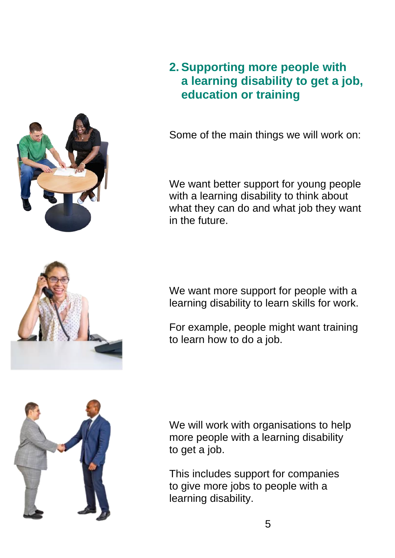

#### **2. Supporting more people with a learning disability to get a job, education or training**

Some of the main things we will work on:

We want better support for young people with a learning disability to think about what they can do and what job they want in the future.



We want more support for people with a learning disability to learn skills for work.

For example, people might want training to learn how to do a job.



We will work with organisations to help more people with a learning disability to get a job.

This includes support for companies to give more jobs to people with a learning disability.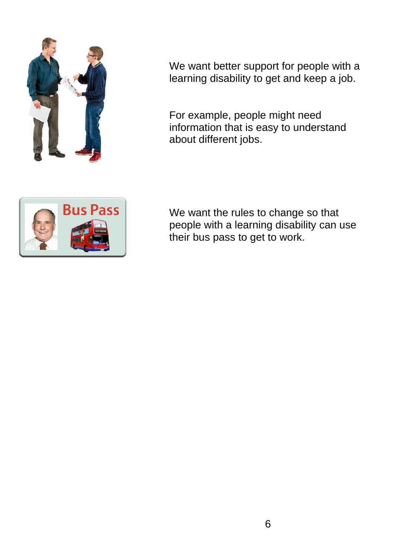

We want better support for people with a learning disability to get and keep a job.

For example, people might need information that is easy to understand about different jobs.



We want the rules to change so that people with a learning disability can use their bus pass to get to work.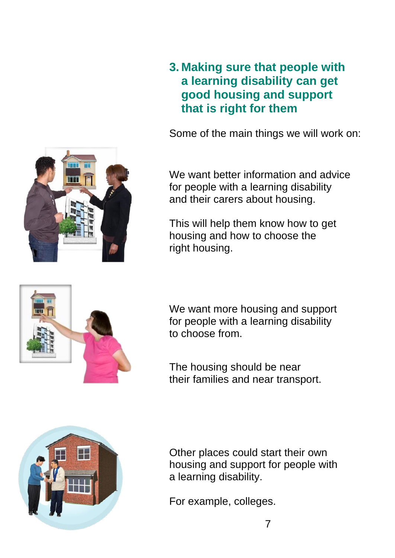

#### **3. Making sure that people with a learning disability can get good housing and support that is right for them**

Some of the main things we will work on:

We want better information and advice for people with a learning disability and their carers about housing.

This will help them know how to get housing and how to choose the right housing.



We want more housing and support for people with a learning disability to choose from.

The housing should be near their families and near transport.



Other places could start their own housing and support for people with a learning disability.

For example, colleges.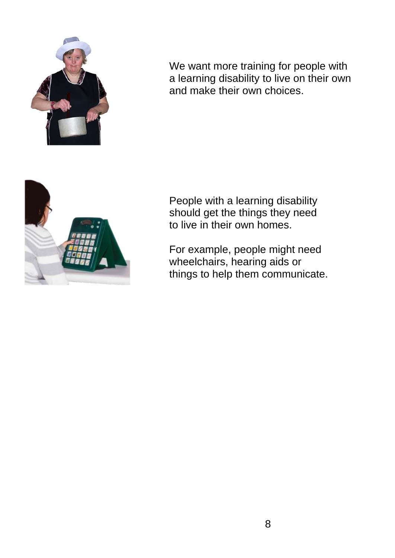

We want more training for people with a learning disability to live on their own and make their own choices.



People with a learning disability should get the things they need to live in their own homes.

For example, people might need wheelchairs, hearing aids or things to help them communicate.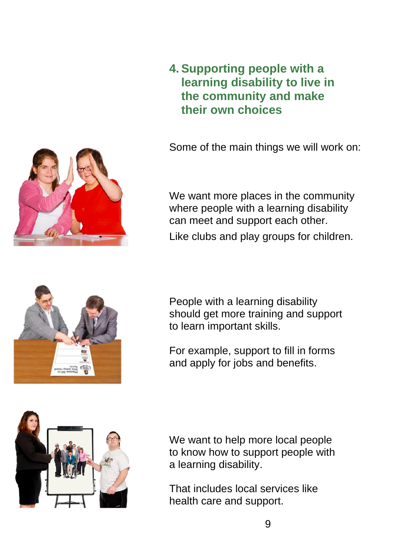

Some of the main things we will work on:

We want more places in the community where people with a learning disability can meet and support each other.

Like clubs and play groups for children.



People with a learning disability should get more training and support to learn important skills.

For example, support to fill in forms and apply for jobs and benefits.



We want to help more local people to know how to support people with a learning disability.

That includes local services like health care and support.

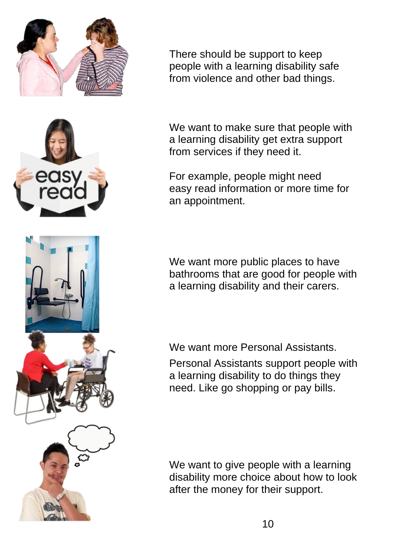

There should be support to keep people with a learning disability safe from violence and other bad things.

We want to make sure that people with a learning disability get extra support from services if they need it.

For example, people might need easy read information or more time for an appointment.

We want more public places to have bathrooms that are good for people with a learning disability and their carers.

We want more Personal Assistants.

Personal Assistants support people with a learning disability to do things they need. Like go shopping or pay bills.

We want to give people with a learning disability more choice about how to look after the money for their support.

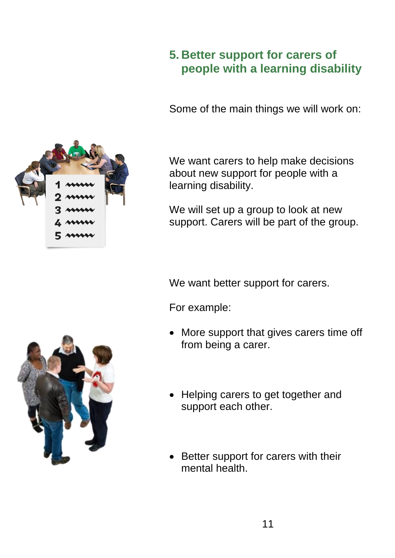#### **5. Better support for carers of people with a learning disability**

Some of the main things we will work on:



We want carers to help make decisions about new support for people with a learning disability.

We will set up a group to look at new support. Carers will be part of the group.

We want better support for carers.

For example:

- More support that gives carers time off from being a carer.
- Helping carers to get together and support each other.
- Better support for carers with their mental health.

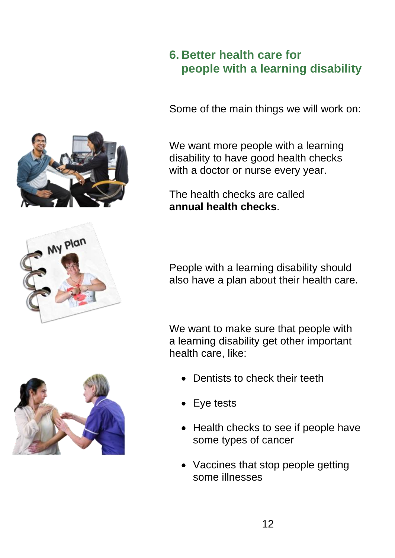#### **6. Better health care for people with a learning disability**

Some of the main things we will work on:

We want more people with a learning disability to have good health checks with a doctor or nurse every year.

The health checks are called **annual health checks**.

People with a learning disability should also have a plan about their health care.

We want to make sure that people with a learning disability get other important health care, like:

- Dentists to check their teeth
- Eye tests
- Health checks to see if people have some types of cancer
- Vaccines that stop people getting some illnesses





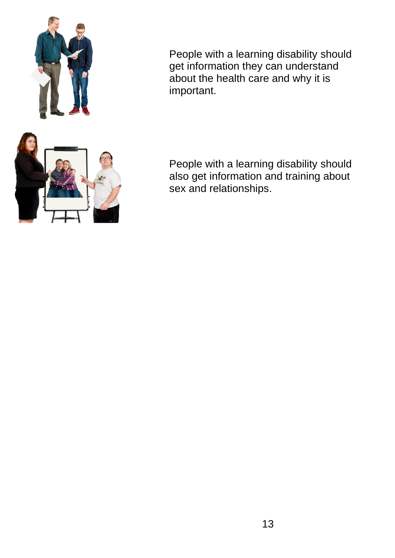

People with a learning disability should get information they can understand about the health care and why it is important.

People with a learning disability should also get information and training about sex and relationships.